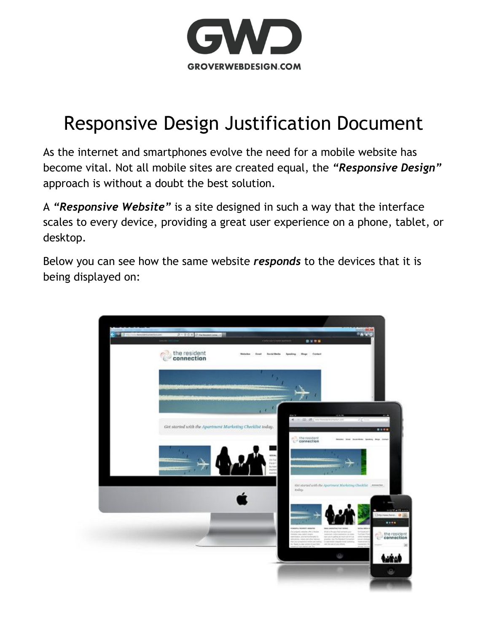

### Responsive Design Justification Document

As the internet and smartphones evolve the need for a mobile website has become vital. Not all mobile sites are created equal, the *"Responsive Design"* approach is without a doubt the best solution.

A "Responsive Website" is a site designed in such a way that the interface scales to every device, providing a great user experience on a phone, tablet, or desktop.

Below you can see how the same website *responds* to the devices that it is being displayed on:

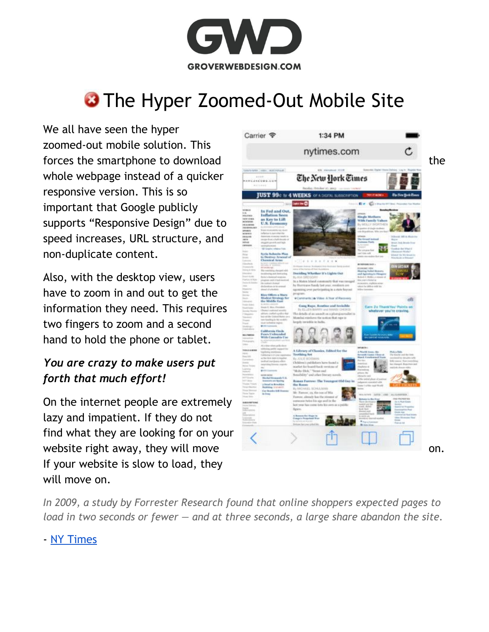

## **3 The Hyper Zoomed-Out Mobile Site**

We all have seen the hyper zoomed-out mobile solution. This whole webpage instead of a quicker responsive version. This is so important that Google publicly supports "Responsive Design" due to speed increases, URL structure, and non-duplicate content.

Also, with the desktop view, users have to zoom in and out to get the information they need. This requires two fingers to zoom and a second hand to hold the phone or tablet.

#### *You are crazy to make users put forth that much effort!*

On the internet people are extremely lazy and impatient. If they do not find what they are looking for on your If your website is slow to load, they will move on.



*In 2009, a study by Forrester Research found that online shoppers expected pages to load in two seconds or fewer — and at three seconds, a large share abandon the site.*

#### - [NY Times](http://www.nytimes.com/2012/03/01/technology/impatient-web-users-flee-slow-loading-sites.html?pagewanted=all&_r=0)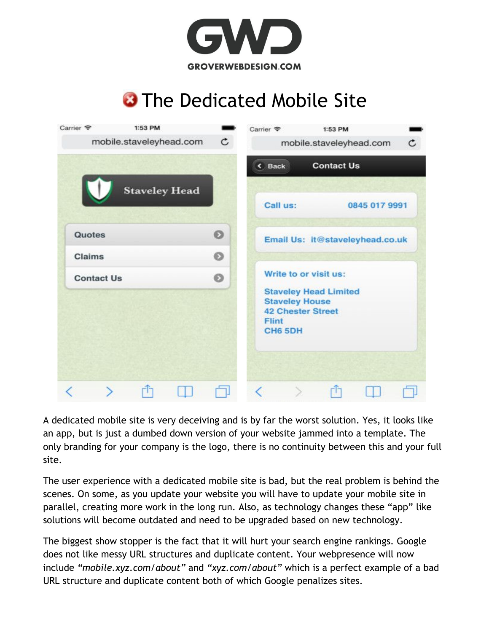

## **3** The Dedicated Mobile Site



A dedicated mobile site is very deceiving and is by far the worst solution. Yes, it looks like an app, but is just a dumbed down version of your website jammed into a template. The only branding for your company is the logo, there is no continuity between this and your full site.

The user experience with a dedicated mobile site is bad, but the real problem is behind the scenes. On some, as you update your website you will have to update your mobile site in parallel, creating more work in the long run. Also, as technology changes these "app" like solutions will become outdated and need to be upgraded based on new technology.

The biggest show stopper is the fact that it will hurt your search engine rankings. Google does not like messy URL structures and duplicate content. Your webpresence will now include *"mobile.xyz.com/about"* and *"xyz.com/about"* which is a perfect example of a bad URL structure and duplicate content both of which Google penalizes sites.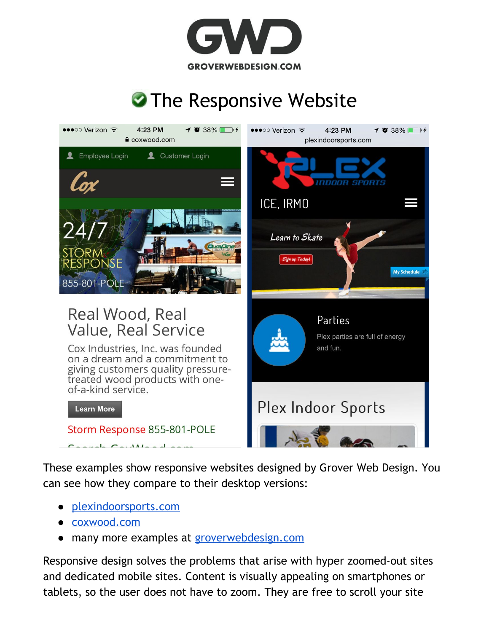

# **The Responsive Website**



These examples show responsive websites designed by Grover Web Design. You can see how they compare to their desktop versions:

- [plexindoorsports.com](http://plexindoorsports.com/)
- [coxwood.com](https://coxwood.com/)
- many more examples at [groverwebdesign.com](http://groverwebdesign.com/)

Responsive design solves the problems that arise with hyper zoomed-out sites and dedicated mobile sites. Content is visually appealing on smartphones or tablets, so the user does not have to zoom. They are free to scroll your site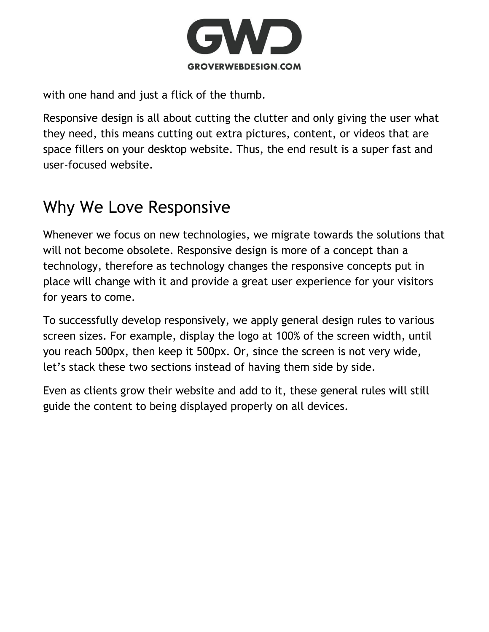

with one hand and just a flick of the thumb.

Responsive design is all about cutting the clutter and only giving the user what they need, this means cutting out extra pictures, content, or videos that are space fillers on your desktop website. Thus, the end result is a super fast and user-focused website.

#### Why We Love Responsive

Whenever we focus on new technologies, we migrate towards the solutions that will not become obsolete. Responsive design is more of a concept than a technology, therefore as technology changes the responsive concepts put in place will change with it and provide a great user experience for your visitors for years to come.

To successfully develop responsively, we apply general design rules to various screen sizes. For example, display the logo at 100% of the screen width, until you reach 500px, then keep it 500px. Or, since the screen is not very wide, let's stack these two sections instead of having them side by side.

Even as clients grow their website and add to it, these general rules will still guide the content to being displayed properly on all devices.